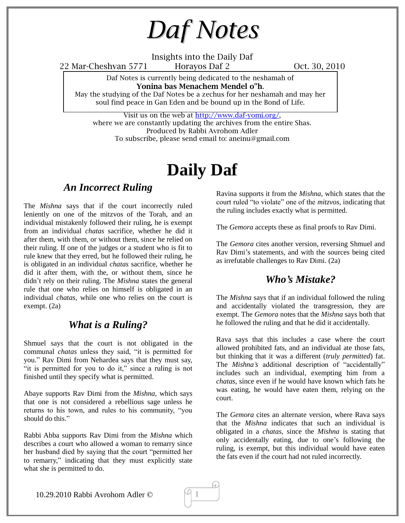*Daf Notes*

Insights into the Daily Daf

22 Mar-Cheshvan 5771 Horayos Daf 2 Oct. 30, 2010

Daf Notes is currently being dedicated to the neshamah of **Yonina bas Menachem Mendel o"h**.

May the studying of the Daf Notes be a zechus for her neshamah and may her soul find peace in Gan Eden and be bound up in the Bond of Life.

Visit us on the web at http://www.daf-yomi.org/, where we are constantly updating the archives from the entire Shas. Produced by Rabbi Avrohom Adler To subscribe, please send email to: aneinu@gmail.com

# **Daily Daf**

### *An Incorrect Ruling*

The *Mishna* says that if the court incorrectly ruled leniently on one of the mitzvos of the Torah, and an individual mistakenly followed their ruling, he is exempt from an individual *chatas* sacrifice, whether he did it after them, with them, or without them, since he relied on their ruling. If one of the judges or a student who is fit to rule knew that they erred, but he followed their ruling, he is obligated in an individual *chatas* sacrifice, whether he did it after them, with the, or without them, since he didn't rely on their ruling. The *Mishna* states the general rule that one who relies on himself is obligated in an individual *chatas*, while one who relies on the court is exempt. (2a)

### *What is a Ruling?*

Shmuel says that the court is not obligated in the communal *chatas* unless they said, "it is permitted for you." Rav Dimi from Nehardea says that they must say, "it is permitted for you to do it," since a ruling is not finished until they specify what is permitted.

Abaye supports Rav Dimi from the *Mishna*, which says that one is not considered a rebellious sage unless he returns to his town, and rules to his community, "you should do this."

Rabbi Abba supports Rav Dimi from the *Mishna* which describes a court who allowed a woman to remarry since her husband died by saying that the court "permitted her to remarry," indicating that they must explicitly state what she is permitted to do.

Ravina supports it from the *Mishna*, which states that the court ruled "to violate" one of the *mitzvos*, indicating that the ruling includes exactly what is permitted.

The *Gemora* accepts these as final proofs to Rav Dimi.

The *Gemora* cites another version, reversing Shmuel and Rav Dimi's statements, and with the sources being cited as irrefutable challenges to Rav Dimi. (2a)

### *Who's Mistake?*

The *Mishna* says that if an individual followed the ruling and accidentally violated the transgression, they are exempt. The *Gemora* notes that the *Mishna* says both that he followed the ruling and that he did it accidentally.

Rava says that this includes a case where the court allowed prohibited fats, and an individual ate those fats, but thinking that it was a different (*truly permitted*) fat. The *Mishna's* additional description of "accidentally" includes such an individual, exempting him from a *chatas*, since even if he would have known which fats he was eating, he would have eaten them, relying on the court.

The *Gemora* cites an alternate version, where Rava says that the *Mishna* indicates that such an individual is obligated in a *chatas*, since the *Mishna* is stating that only accidentally eating, due to one's following the ruling, is exempt, but this individual would have eaten the fats even if the court had not ruled incorrectly.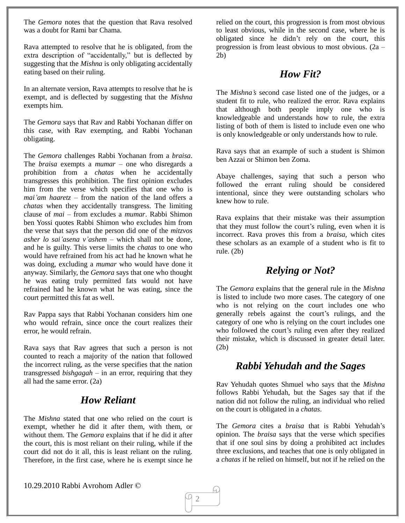The *Gemora* notes that the question that Rava resolved was a doubt for Rami bar Chama.

Rava attempted to resolve that he is obligated, from the extra description of "accidentally," but is deflected by suggesting that the *Mishna* is only obligating accidentally eating based on their ruling.

In an alternate version, Rava attempts to resolve that he is exempt, and is deflected by suggesting that the *Mishna* exempts him.

The *Gemora* says that Rav and Rabbi Yochanan differ on this case, with Rav exempting, and Rabbi Yochanan obligating.

The *Gemora* challenges Rabbi Yochanan from a *braisa*. The *braisa* exempts a *mumar* – one who disregards a prohibition from a *chatas* when he accidentally transgresses this prohibition. The first opinion excludes him from the verse which specifies that one who is *mai'am haaretz* – from the nation of the land offers a *chatas* when they accidentally transgress. The limiting clause of *mai* – from excludes a *mumar*. Rabbi Shimon ben Yossi quotes Rabbi Shimon who excludes him from the verse that says that the person did one of the *mitzvos asher lo sai'asena v'ashem* – which shall not be done, and he is guilty. This verse limits the *chatas* to one who would have refrained from his act had he known what he was doing, excluding a *mumar* who would have done it anyway. Similarly, the *Gemora* says that one who thought he was eating truly permitted fats would not have refrained had he known what he was eating, since the court permitted this fat as well.

Rav Pappa says that Rabbi Yochanan considers him one who would refrain, since once the court realizes their error, he would refrain.

Rava says that Rav agrees that such a person is not counted to reach a majority of the nation that followed the incorrect ruling, as the verse specifies that the nation transgressed *bishgagah* – in an error, requiring that they all had the same error. (2a)

### *How Reliant*

The *Mishna* stated that one who relied on the court is exempt, whether he did it after them, with them, or without them. The *Gemora* explains that if he did it after the court, this is most reliant on their ruling, while if the court did not do it all, this is least reliant on the ruling. Therefore, in the first case, where he is exempt since he relied on the court, this progression is from most obvious to least obvious, while in the second case, where he is obligated since he didn't rely on the court, this progression is from least obvious to most obvious. (2a – 2b)

### *How Fit?*

The *Mishna's* second case listed one of the judges, or a student fit to rule, who realized the error. Rava explains that although both people imply one who is knowledgeable and understands how to rule, the extra listing of both of them is listed to include even one who is only knowledgeable or only understands how to rule.

Rava says that an example of such a student is Shimon ben Azzai or Shimon ben Zoma.

Abaye challenges, saying that such a person who followed the errant ruling should be considered intentional, since they were outstanding scholars who knew how to rule.

Rava explains that their mistake was their assumption that they must follow the court's ruling, even when it is incorrect. Rava proves this from a *braisa*, which cites these scholars as an example of a student who is fit to rule. (2b)

### *Relying or Not?*

The *Gemora* explains that the general rule in the *Mishna* is listed to include two more cases. The category of one who is not relying on the court includes one who generally rebels against the court's rulings, and the category of one who is relying on the court includes one who followed the court's ruling even after they realized their mistake, which is discussed in greater detail later. (2b)

### *Rabbi Yehudah and the Sages*

Rav Yehudah quotes Shmuel who says that the *Mishna* follows Rabbi Yehudah, but the Sages say that if the nation did not follow the ruling, an individual who relied on the court is obligated in a *chatas*.

The *Gemora* cites a *braisa* that is Rabbi Yehudah's opinion. The *braisa* says that the verse which specifies that if one soul sins by doing a prohibited act includes three exclusions, and teaches that one is only obligated in a *chatas* if he relied on himself, but not if he relied on the

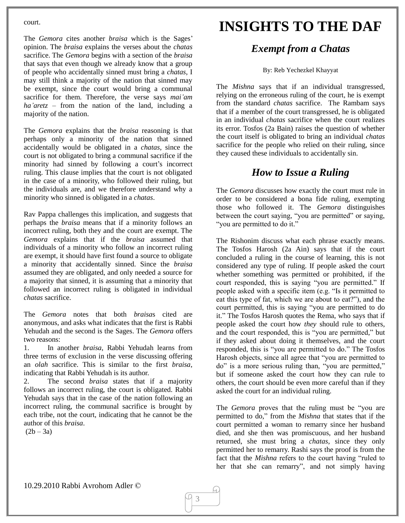court.

The *Gemora* cites another *braisa* which is the Sages' opinion. The *braisa* explains the verses about the *chatas* sacrifice. The *Gemora* begins with a section of the *braisa* that says that even though we already know that a group of people who accidentally sinned must bring a *chatas*, I may still think a majority of the nation that sinned may be exempt, since the court would bring a communal sacrifice for them. Therefore, the verse says *mai'am ha'aretz* – from the nation of the land, including a majority of the nation.

The *Gemora* explains that the *braisa* reasoning is that perhaps only a minority of the nation that sinned accidentally would be obligated in a *chatas*, since the court is not obligated to bring a communal sacrifice if the minority had sinned by following a court's incorrect ruling. This clause implies that the court is not obligated in the case of a minority, who followed their ruling, but the individuals are, and we therefore understand why a minority who sinned is obligated in a *chatas*.

Rav Pappa challenges this implication, and suggests that perhaps the *braisa* means that if a minority follows an incorrect ruling, both they and the court are exempt. The *Gemora* explains that if the *braisa* assumed that individuals of a minority who follow an incorrect ruling are exempt, it should have first found a source to obligate a minority that accidentally sinned. Since the *braisa* assumed they are obligated, and only needed a source for a majority that sinned, it is assuming that a minority that followed an incorrect ruling is obligated in individual *chatas* sacrifice.

The *Gemora* notes that both *braisa*s cited are anonymous, and asks what indicates that the first is Rabbi Yehudah and the second is the Sages. The *Gemora* offers two reasons:

1. In another *braisa*, Rabbi Yehudah learns from three terms of exclusion in the verse discussing offering an *olah* sacrifice. This is similar to the first *braisa*, indicating that Rabbi Yehudah is its author.

2. The second *braisa* states that if a majority follows an incorrect ruling, the court is obligated. Rabbi Yehudah says that in the case of the nation following an incorrect ruling, the communal sacrifice is brought by each tribe, not the court, indicating that he cannot be the author of this *braisa*.

 $(2b - 3a)$ 

## **INSIGHTS TO THE DAF**

### *Exempt from a Chatas*

#### By: Reb Yechezkel Khayyat

The *Mishna* says that if an individual transgressed, relying on the erroneous ruling of the court, he is exempt from the standard *chatas* sacrifice. The Rambam says that if a member of the court transgressed, he is obligated in an individual *chatas* sacrifice when the court realizes its error. Tosfos (2a Bain) raises the question of whether the court itself is obligated to bring an individual *chatas* sacrifice for the people who relied on their ruling, since they caused these individuals to accidentally sin.

### *How to Issue a Ruling*

The *Gemora* discusses how exactly the court must rule in order to be considered a bona fide ruling, exempting those who followed it. The *Gemora* distinguishes between the court saying, "you are permitted" or saying, "you are permitted to do it."

The Rishonim discuss what each phrase exactly means. The Tosfos Harosh (2a Ain) says that if the court concluded a ruling in the course of learning, this is not considered any type of ruling. If people asked the court whether something was permitted or prohibited, if the court responded, this is saying "you are permitted." If people asked with a specific item (e.g. "Is it permitted to eat this type of fat, which we are about to eat?"), and the court permitted, this is saying "you are permitted to do it." The Tosfos Harosh quotes the Rema, who says that if people asked the court how *they* should rule to others, and the court responded, this is "you are permitted," but if they asked about doing it themselves, and the court responded, this is "you are permitted to do." The Tosfos Harosh objects, since all agree that "you are permitted to do" is a more serious ruling than, "you are permitted," but if someone asked the court how they can rule to others, the court should be even more careful than if they asked the court for an individual ruling.

The *Gemora* proves that the ruling must be "you are permitted to do," from the *Mishna* that states that if the court permitted a woman to remarry since her husband died, and she then was promiscuous, and her husband returned, she must bring a *chatas*, since they only permitted her to remarry. Rashi says the proof is from the fact that the *Mishna* refers to the court having "ruled to her that she can remarry", and not simply having